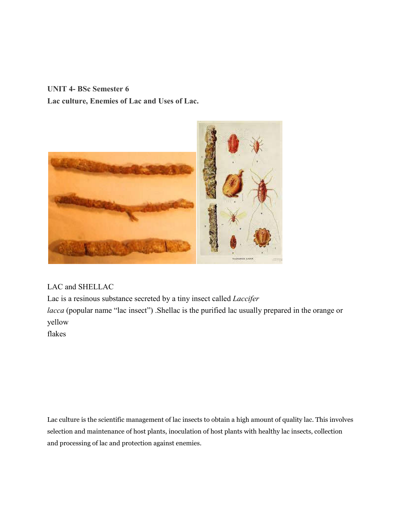**UNIT 4- BSc Semester 6 Lac culture, Enemies of Lac and Uses of Lac.**



LAC and SHELLAC

Lac is a resinous substance secreted by a tiny insect called *Laccifer lacca* (popular name "lac insect"). Shellac is the purified lac usually prepared in the orange or yellow

flakes

Lac culture is the scientific management of lac insects to obtain a high amount of quality lac. This involves selection and maintenance of host plants, inoculation of host plants with healthy lac insects, collection and processing of lac and protection against enemies.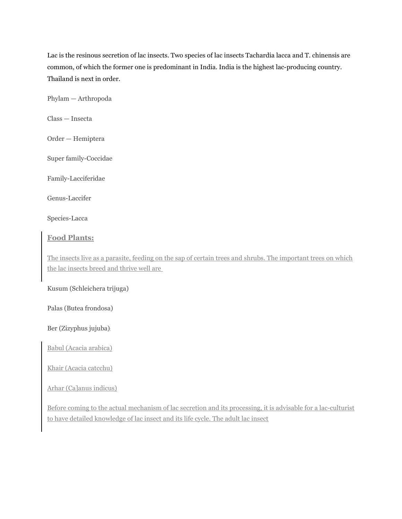Lac is the resinous secretion of lac insects. Two species of lac insects Tachardia lacca and T. chinensis are common, of which the former one is predominant in India. India is the highest lac-producing country. Thailand is next in order.

Phylam — Arthropoda

Class — Insecta

Order — Hemiptera

Super family-Coccidae

Family-Lacciferidae

Genus-Laccifer

Species-Lacca

#### **Food Plants:**

The insects live as a parasite, feeding on the sap of certain trees and shrubs. The important trees on which the lac insects breed and thrive well are

Kusum (Schleichera trijuga)

Palas (Butea frondosa)

Ber (Zizyphus jujuba):

Babul (Acacia arabica)

Khair (Acacia catcchu)

Arhar (Ca]anus indicus)

Before coming to the actual mechanism of lac secretion and its processing, it is advisable for a lac-culturist to have detailed knowledge of lac insect and its life cycle. The adult lac insect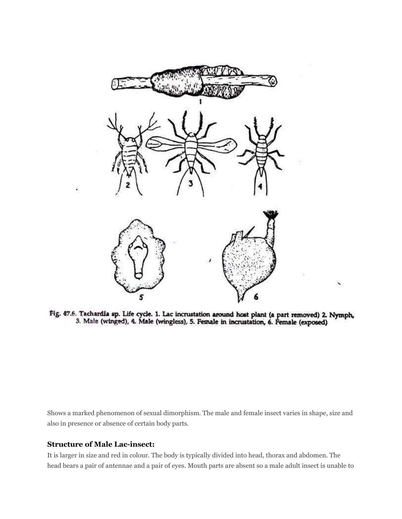

Fig. 47.6. Tachardia sp. Life cycle. 1. Lac incrustation around host plant (a part removed) 2. Nymph, 3. Male (winged), 4. Male (wingless), 5. Female in incrustation, 6. Female (exposed)

Shows a marked phenomenon of sexual dimorphism. The male and female insect varies in shape, size and also in presence or absence of certain body parts.

#### **Structure of Male Lac-insect:**

It is larger in size and red in colour. The body is typically divided into head, thorax and abdomen. The head bears a pair of antennae and a pair of eyes. Mouth parts are absent so a male adult insect is unable to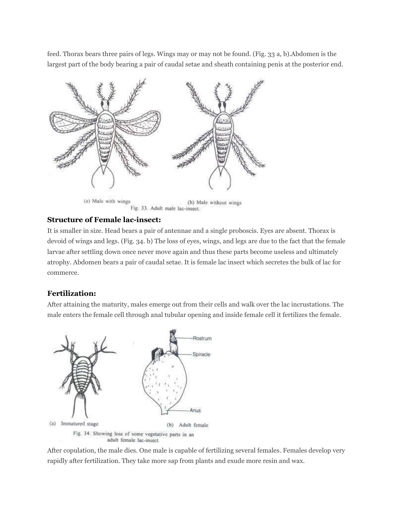feed. Thorax bears three pairs of legs. Wings may or may not be found. (Fig. 33 a, b).Abdomen is the largest part of the body bearing a pair of caudal setae and sheath containing penis at the posterior end.



#### **Structure of Female lac-insect:**

It is smaller in size. Head bears a pair of antennae and a single proboscis. Eyes are absent. Thorax is devoid of wings and legs. (Fig. 34. b) The loss of eyes, wings, and legs are due to the fact that the female larvae after settling down once never move again and thus these parts become useless and ultimately atrophy. Abdomen bears a pair of caudal setae. It is female lac insect which secretes the bulk of lac for commerce.

#### **Fertilization:**

After attaining the maturity, males emerge out from their cells and walk over the lac incrustations. The male enters the female cell through anal tubular opening and inside female cell it fertilizes the female.



After copulation, the male dies. One male is capable of fertilizing several females. Females develop very rapidly after fertilization. They take more sap from plants and exude more resin and wax.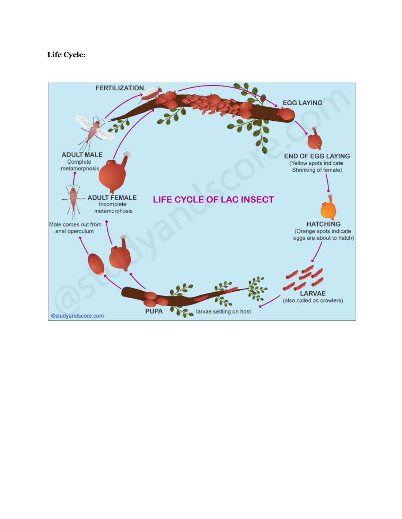# **Life Cycle:**

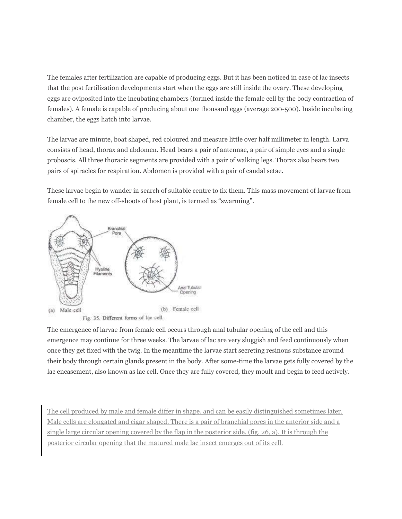The females after fertilization are capable of producing eggs. But it has been noticed in case of lac insects that the post fertilization developments start when the eggs are still inside the ovary. These developing eggs are oviposited into the incubating chambers (formed inside the female cell by the body contraction of females). A female is capable of producing about one thousand eggs (average 200-500). Inside incubating chamber, the eggs hatch into larvae.

The larvae are minute, boat shaped, red coloured and measure little over half millimeter in length. Larva consists of head, thorax and abdomen. Head bears a pair of antennae, a pair of simple eyes and a single proboscis. All three thoracic segments are provided with a pair of walking legs. Thorax also bears two pairs of spiracles for respiration. Abdomen is provided with a pair of caudal setae.

These larvae begin to wander in search of suitable centre to fix them. This mass movement of larvae from female cell to the new off-shoots of host plant, is termed as "swarming".



The emergence of larvae from female cell occurs through anal tubular opening of the cell and this emergence may continue for three weeks. The larvae of lac are very sluggish and feed continuously when once they get fixed with the twig. In the meantime the larvae start secreting resinous substance around their body through certain glands present in the body. After some-time the larvae gets fully covered by the lac encasement, also known as lac cell. Once they are fully covered, they moult and begin to feed actively.

The cell produced by male and female differ in shape, and can be easily distinguished sometimes later. Male cells are elongated and cigar shaped. There is a pair of branchial pores in the anterior side and a single large circular opening covered by the flap in the posterior side. (fig. 26, a). It is through the posterior circular opening that the matured male lac insect emerges out of its cell.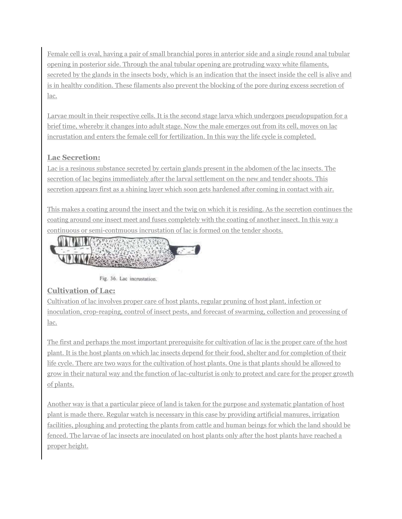Female cell is oval, having a pair of small branchial pores in anterior side and a single round anal tubular opening in posterior side. Through the anal tubular opening are protruding waxy white filaments, secreted by the glands in the insects body, which is an indication that the insect inside the cell is alive and is in healthy condition. These filaments also prevent the blocking of the pore during excess secretion of lac.

Larvae moult in their respective cells. It is the second stage larva which undergoes pseudopupation for a brief time, whereby it changes into adult stage. Now the male emerges out from its cell, moves on lac incrustation and enters the female cell for fertilization. In this way the life cycle is completed.

# **Lac Secretion:**

Lac is a resinous substance secreted by certain glands present in the abdomen of the lac insects. The secretion of lac begins immediately after the larval settlement on the new and tender shoots. This secretion appears first as a shining layer which soon gets hardened after coming in contact with air.

This makes a coating around the insect and the twig on which it is residing. As the secretion continues the coating around one insect meet and fuses completely with the coating of another insect. In this way a continuous or semi-contmuous incrustation of lac is formed on the tender shoots.



Fig. 36. Lac incrustation.

# **Cultivation of Lac:**

Cultivation of lac involves proper care of host plants, regular pruning of host plant, infection or inoculation, crop-reaping, control of insect pests, and forecast of swarming, collection and processing of lac.

The first and perhaps the most important prerequisite for cultivation of lac is the proper care of the host plant. It is the host plants on which lac insects depend for their food, shelter and for completion of their life cycle. There are two ways for the cultivation of host plants. One is that plants should be allowed to grow in their natural way and the function of lac-culturist is only to protect and care for the proper growth of plants.

Another way is that a particular piece of land is taken for the purpose and systematic plantation of host plant is made there. Regular watch is necessary in this case by providing artificial manures, irrigation facilities, ploughing and protecting the plants from cattle and human beings for which the land should be fenced. The larvae of lac insects are inoculated on host plants only after the host plants have reached a proper height.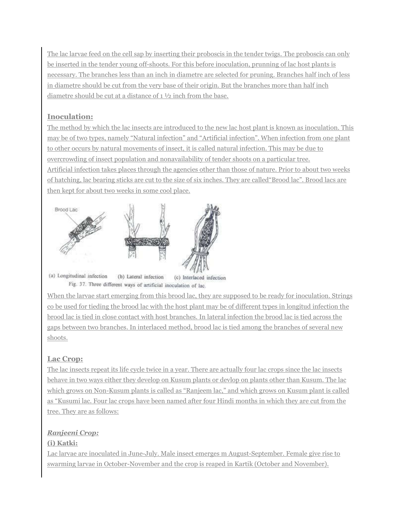The lac larvae feed on the cell sap by inserting their proboscis in the tender twigs. The proboscis can only be inserted in the tender young off-shoots. For this before inoculation, prunning of lac host plants is necessary. The branches less than an inch in diametre are selected for pruning. Branches half inch of less in diametre should be cut from the very base of their origin. But the branches more than half inch diametre should be cut at a distance of 1 ½ inch from the base.

# **Inoculation:**

The method by which the lac insects are introduced to the new lac host plant is known as inoculation. This may be of two types, namely "Natural infection" and "Artificial infection". When infection from one plant to other occurs by natural movements of insect, it is called natural infection. This may be due to overcrowding of insect population and nonavailability of tender shoots on a particular tree. Artificial infection takes places through the agencies other than those of nature. Prior to about two weeks of hatching, lac bearing sticks are cut to the size of six inches. They are called"Brood lac". Brood lacs are then kept for about two weeks in some cool place.



(a) Longitudinal infection (b) Lateral infection (c) Interlaced infection Fig. 37. Three different ways of artificial inoculation of lac.

When the larvae start emerging from this brood lac, they are supposed to be ready for inoculation. Strings со be used for tieding the brood lac with the host plant may be of different types in longitud infection the brood lac is tied in close contact with host branches. In lateral infection the brood lac is tied across the gaps between two branches. In interlaced method, brood lac is tied among the branches of several new shoots.

# **Lac Crop:**

The lac insects repeat its life cycle twice in a year. There are actually four lac crops since the lac insects behave in two ways either they develop on Kusum plants or devlop on plants other than Kusum. The lac which grows on Non-Kusum plants is called as "Ranjeem lac," and which grows on Kusum plant is called as "Kusumi lac. Four lac crops have been named after four Hindi months in which they are cut from the tree. They are as follows:

# *Ranjeeni Crop:*

## **(i) Katki:**

Lac larvae are inoculated in June-July. Male insect emerges m August-September. Female give rise to swarming larvae in October-November and the crop is reaped in Kartik (October and November).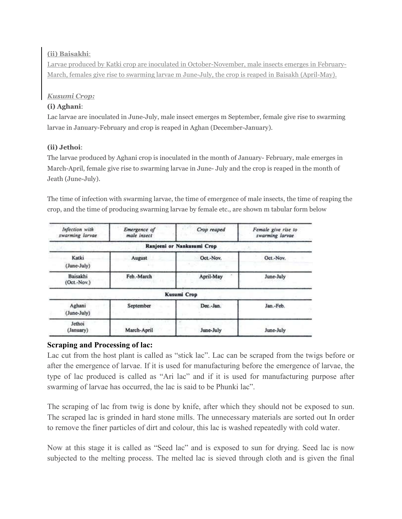#### **(ii) Baisakhi**:

Larvae produced by Katki crop are inoculated in October-November, male insects emerges in February-March, females give rise to swarming larvae m June-July, the crop is reaped in Baisakh (April-May).

## *Kusumi Crop:*

## **(i) Aghani**:

Lac larvae are inoculated in June-July, male insect emerges m September, female give rise to swarming larvae in January-February and crop is reaped in Aghan (December-January).

## **(ii) Jethoi**:

The larvae produced by Aghani crop is inoculated in the month of January- February, male emerges in March-April, female give rise to swarming larvae in June- July and the crop is reaped in the month of Jeath (June-July).

The time of infection with swarming larvae, the time of emergence of male insects, the time of reaping the crop, and the time of producing swarming larvae by female etc., are shown m tabular form below

| Infection with<br>swarming larvae | Emergence of<br>male insect | Crop reaped                | Female give rise to<br>swarming larvae |
|-----------------------------------|-----------------------------|----------------------------|----------------------------------------|
|                                   |                             | Ranjeeni or Nankusumi Crop |                                        |
| Katki<br>(June-July)              | August                      | Oct.-Nov.                  | Oct.-Nov.                              |
| Baisakhi<br>$(Oct.-Nov.)$         | Feb.-March                  | April-May                  | June-July                              |
|                                   |                             | Kusumi Crop                |                                        |
| Aghani<br>(June-July)             | September                   | Dec.-Jan.                  | Jan.-Feb.                              |
| Jethoi<br>(January)               | March-April                 | June-July                  | June-July                              |

## **Scraping and Processing of lac:**

Lac cut from the host plant is called as "stick lac". Lac can be scraped from the twigs before or after the emergence of larvae. If it is used for manufacturing before the emergence of larvae, the type of lac produced is called as "Ari lac" and if it is used for manufacturing purpose after swarming of larvae has occurred, the lac is said to be Phunki lac".

The scraping of lac from twig is done by knife, after which they should not be exposed to sun. The scraped lac is grinded in hard stone mills. The unnecessary materials are sorted out In order to remove the finer particles of dirt and colour, this lac is washed repeatedly with cold water.

Now at this stage it is called as "Seed lac" and is exposed to sun for drying. Seed lac is now subjected to the melting process. The melted lac is sieved through cloth and is given the final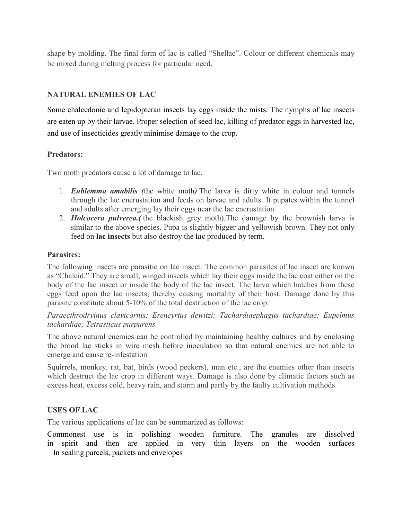shape by molding. The final form of lac is called "Shellac". Colour or different chemicals may be mixed during melting process for particular need.

## **NATURAL ENEMIES OF LAC**

Some chalcedonic and lepidopteran insects lay eggs inside the mists. The nymphs of lac insects are eaten up by their larvae. Proper selection of seed lac, killing of predator eggs in harvested lac, and use of insecticides greatly minimise damage to the crop.

## **Predators:**

Two moth predators cause a lot of damage to lac.

- 1. *Eublemma amabilis (*the white moth*)* The larva is dirty white in colour and tunnels through the lac encrustation and feeds on larvae and adults. It pupates within the tunnel and adults after emerging lay their eggs near the lac encrustation.
- 2. *Holcocera pulverea.(* the blackish grey moth).The damage by the brownish larva is similar to the above species. Pupa is slightly bigger and yellowish-brown. They not only feed on **lac insects** but also destroy the **lac** produced by term.

## **Parasites:**

The following insects are parasitic on lac insect. The common parasites of lac insect are known as "Chalcid." They are small, winged insects which lay their eggs inside the lac coat either on the body of the lac insect or inside the body of the lac insect. The larva which hatches from these eggs feed upon the lac insects, thereby causing mortality of their host. Damage done by this parasite constitute about 5-10% of the total destruction of the lac crop.

*Paraecthrodryinus clavicornis; Erencyrtus dewitzi; Tachardiaephagus tachardiae; Eupelmus tachardiae; Tetrasticus purpurens.*

The above natural enemies can be controlled by maintaining healthy cultures and by enclosing the brood lac sticks in wire mesh before inoculation so that natural enemies are not able to emerge and cause re-infestation

Squirrels, monkey, rat, bat, birds (wood peckers), man etc., are the enemies other than insects which destruct the lac crop in different ways. Damage is also done by climatic factors such as excess heat, excess cold, heavy rain, and storm and partly by the faulty cultivation methods

## **USES OF LAC**

The various applications of lac can be summarized as follows:

Commonest use is in polishing wooden furniture. The granules are dissolved in spirit and then are applied in very thin layers on the wooden surfaces – In sealing parcels, packets and envelopes